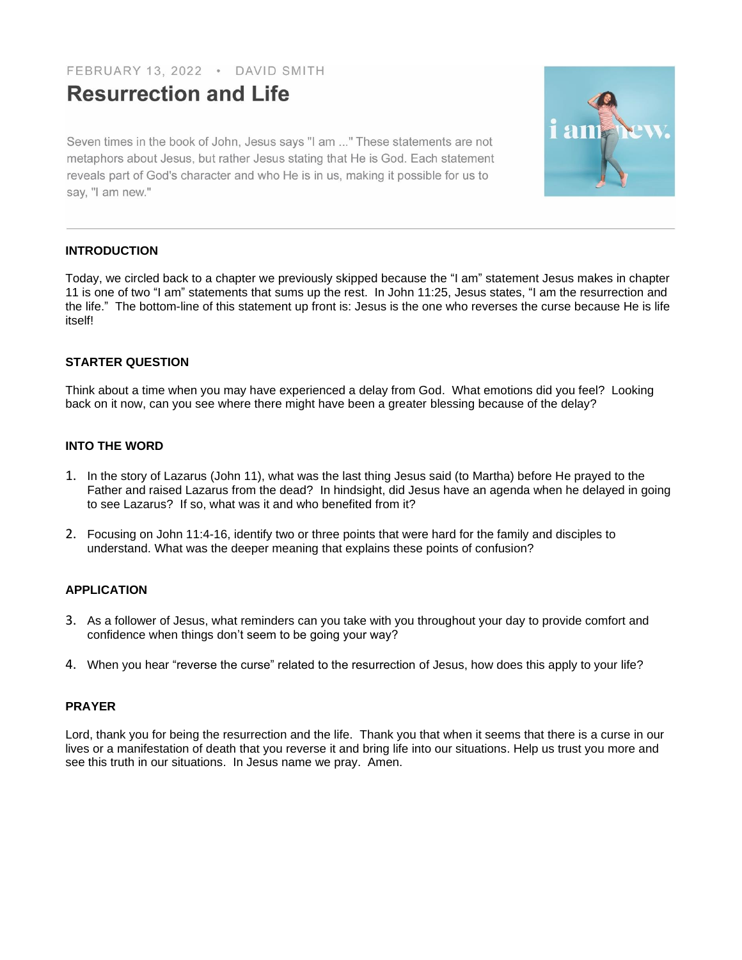# FEBRUARY 13, 2022 · DAVID SMITH

# **Resurrection and Life**

Seven times in the book of John, Jesus says "I am ..." These statements are not metaphors about Jesus, but rather Jesus stating that He is God. Each statement reveals part of God's character and who He is in us, making it possible for us to say, "I am new."



# **INTRODUCTION**

Today, we circled back to a chapter we previously skipped because the "I am" statement Jesus makes in chapter 11 is one of two "I am" statements that sums up the rest. In John 11:25, Jesus states, "I am the resurrection and the life." The bottom-line of this statement up front is: Jesus is the one who reverses the curse because He is life itself!

# **STARTER QUESTION**

Think about a time when you may have experienced a delay from God. What emotions did you feel? Looking back on it now, can you see where there might have been a greater blessing because of the delay?

# **INTO THE WORD**

- 1. In the story of Lazarus (John 11), what was the last thing Jesus said (to Martha) before He prayed to the Father and raised Lazarus from the dead? In hindsight, did Jesus have an agenda when he delayed in going to see Lazarus? If so, what was it and who benefited from it?
- 2. Focusing on John 11:4-16, identify two or three points that were hard for the family and disciples to understand. What was the deeper meaning that explains these points of confusion?

# **APPLICATION**

- 3. As a follower of Jesus, what reminders can you take with you throughout your day to provide comfort and confidence when things don't seem to be going your way?
- 4. When you hear "reverse the curse" related to the resurrection of Jesus, how does this apply to your life?

#### **PRAYER**

Lord, thank you for being the resurrection and the life. Thank you that when it seems that there is a curse in our lives or a manifestation of death that you reverse it and bring life into our situations. Help us trust you more and see this truth in our situations. In Jesus name we pray. Amen.